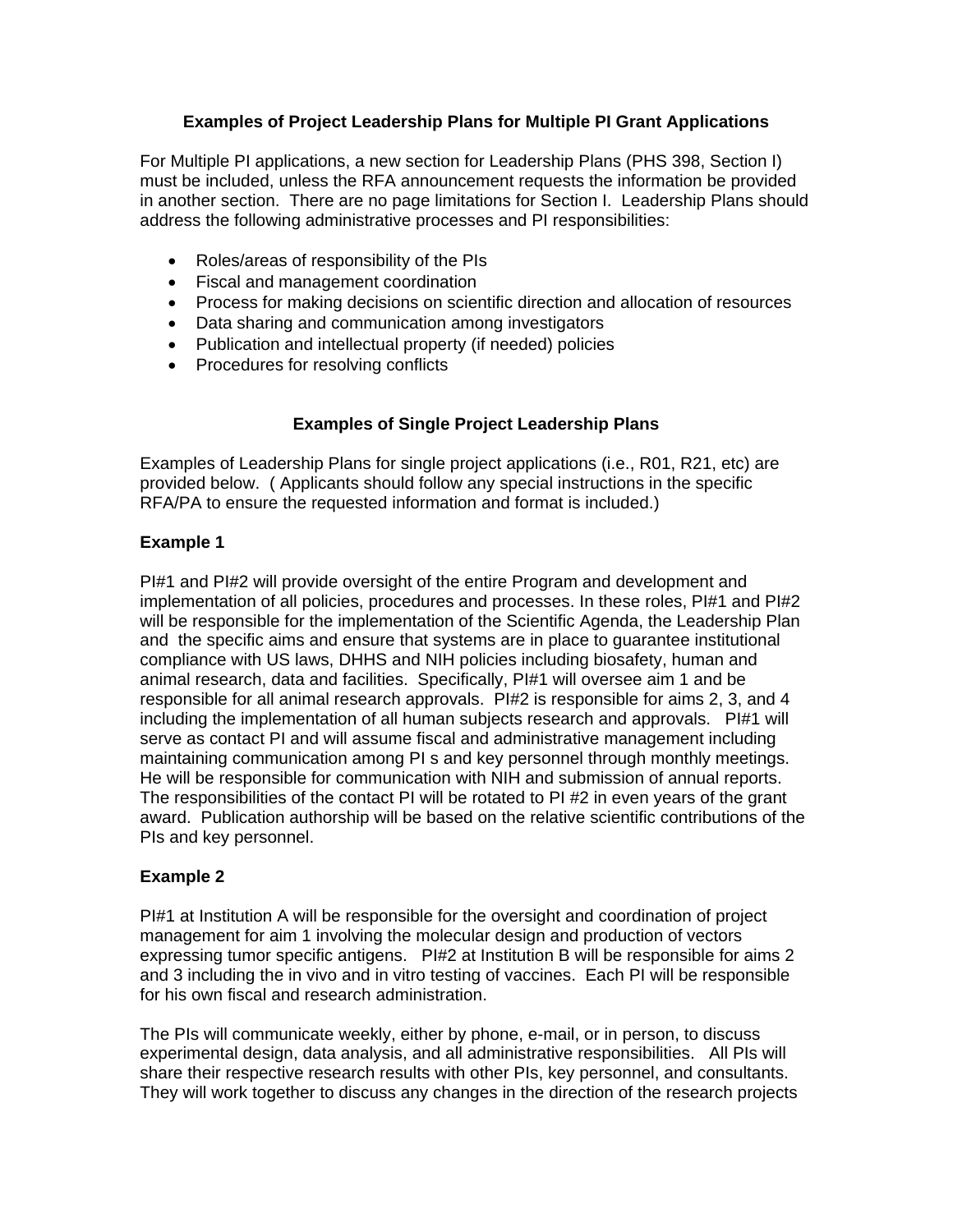## **Examples of Project Leadership Plans for Multiple PI Grant Applications**

For Multiple PI applications, a new section for Leadership Plans (PHS 398, Section I) must be included, unless the RFA announcement requests the information be provided in another section. There are no page limitations for Section I. Leadership Plans should address the following administrative processes and PI responsibilities:

- Roles/areas of responsibility of the PIs
- Fiscal and management coordination
- Process for making decisions on scientific direction and allocation of resources
- Data sharing and communication among investigators
- Publication and intellectual property (if needed) policies
- Procedures for resolving conflicts

# **Examples of Single Project Leadership Plans**

Examples of Leadership Plans for single project applications (i.e., R01, R21, etc) are provided below. ( Applicants should follow any special instructions in the specific RFA/PA to ensure the requested information and format is included.)

# **Example 1**

PI#1 and PI#2 will provide oversight of the entire Program and development and implementation of all policies, procedures and processes. In these roles, PI#1 and PI#2 will be responsible for the implementation of the Scientific Agenda, the Leadership Plan and the specific aims and ensure that systems are in place to guarantee institutional compliance with US laws, DHHS and NIH policies including biosafety, human and animal research, data and facilities. Specifically, PI#1 will oversee aim 1 and be responsible for all animal research approvals. PI#2 is responsible for aims 2, 3, and 4 including the implementation of all human subjects research and approvals. PI#1 will serve as contact PI and will assume fiscal and administrative management including maintaining communication among PI s and key personnel through monthly meetings. He will be responsible for communication with NIH and submission of annual reports. The responsibilities of the contact PI will be rotated to PI #2 in even years of the grant award. Publication authorship will be based on the relative scientific contributions of the PIs and key personnel.

## **Example 2**

PI#1 at Institution A will be responsible for the oversight and coordination of project management for aim 1 involving the molecular design and production of vectors expressing tumor specific antigens. PI#2 at Institution B will be responsible for aims 2 and 3 including the in vivo and in vitro testing of vaccines. Each PI will be responsible for his own fiscal and research administration.

The PIs will communicate weekly, either by phone, e-mail, or in person, to discuss experimental design, data analysis, and all administrative responsibilities. All PIs will share their respective research results with other PIs, key personnel, and consultants. They will work together to discuss any changes in the direction of the research projects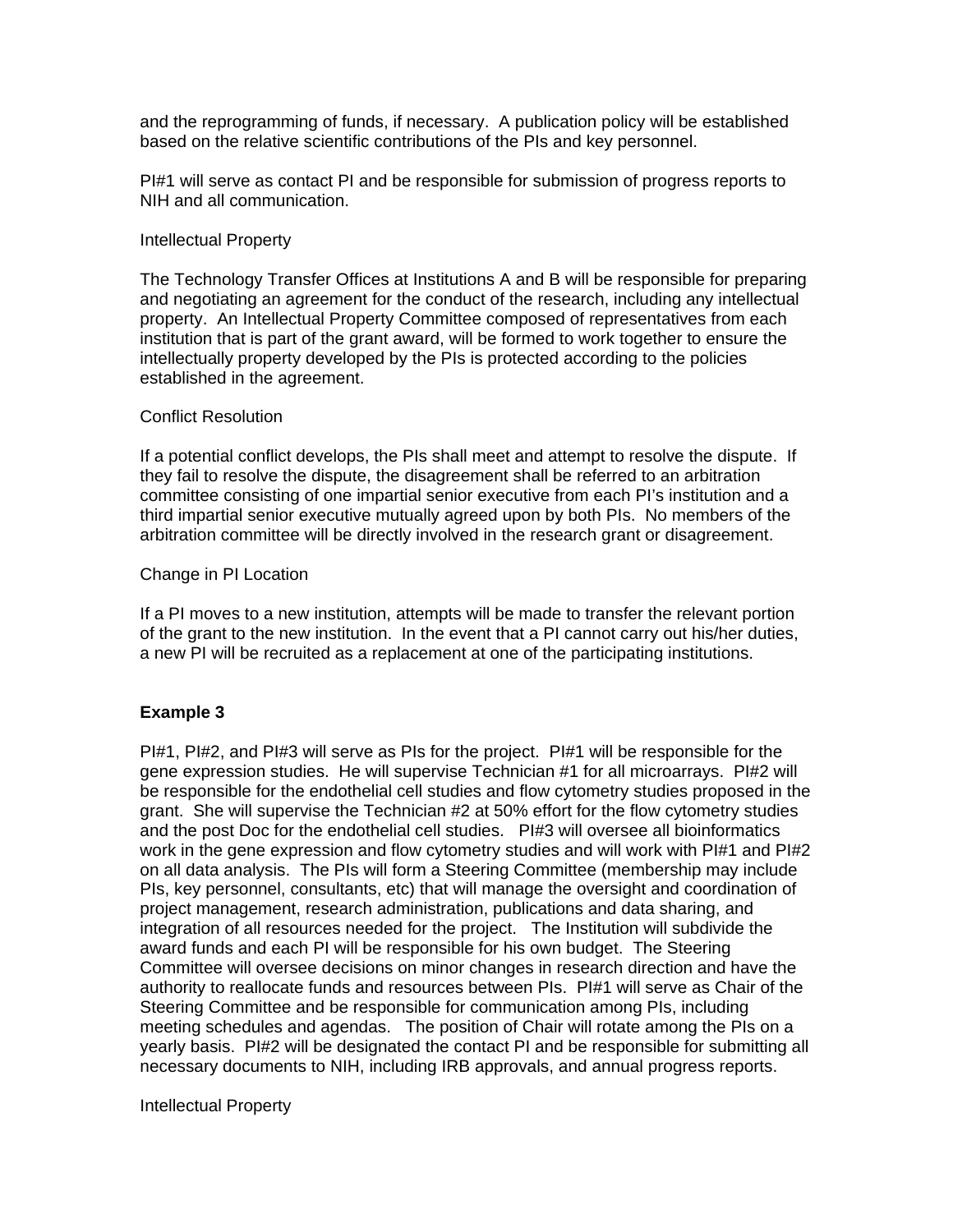and the reprogramming of funds, if necessary. A publication policy will be established based on the relative scientific contributions of the PIs and key personnel.

PI#1 will serve as contact PI and be responsible for submission of progress reports to NIH and all communication.

### Intellectual Property

The Technology Transfer Offices at Institutions A and B will be responsible for preparing and negotiating an agreement for the conduct of the research, including any intellectual property. An Intellectual Property Committee composed of representatives from each institution that is part of the grant award, will be formed to work together to ensure the intellectually property developed by the PIs is protected according to the policies established in the agreement.

#### Conflict Resolution

If a potential conflict develops, the PIs shall meet and attempt to resolve the dispute. If they fail to resolve the dispute, the disagreement shall be referred to an arbitration committee consisting of one impartial senior executive from each PI's institution and a third impartial senior executive mutually agreed upon by both PIs. No members of the arbitration committee will be directly involved in the research grant or disagreement.

#### Change in PI Location

If a PI moves to a new institution, attempts will be made to transfer the relevant portion of the grant to the new institution. In the event that a PI cannot carry out his/her duties, a new PI will be recruited as a replacement at one of the participating institutions.

## **Example 3**

PI#1, PI#2, and PI#3 will serve as PIs for the project. PI#1 will be responsible for the gene expression studies. He will supervise Technician #1 for all microarrays. PI#2 will be responsible for the endothelial cell studies and flow cytometry studies proposed in the grant. She will supervise the Technician #2 at 50% effort for the flow cytometry studies and the post Doc for the endothelial cell studies. PI#3 will oversee all bioinformatics work in the gene expression and flow cytometry studies and will work with PI#1 and PI#2 on all data analysis. The PIs will form a Steering Committee (membership may include PIs, key personnel, consultants, etc) that will manage the oversight and coordination of project management, research administration, publications and data sharing, and integration of all resources needed for the project. The Institution will subdivide the award funds and each PI will be responsible for his own budget. The Steering Committee will oversee decisions on minor changes in research direction and have the authority to reallocate funds and resources between PIs. PI#1 will serve as Chair of the Steering Committee and be responsible for communication among PIs, including meeting schedules and agendas. The position of Chair will rotate among the PIs on a yearly basis. PI#2 will be designated the contact PI and be responsible for submitting all necessary documents to NIH, including IRB approvals, and annual progress reports.

#### Intellectual Property